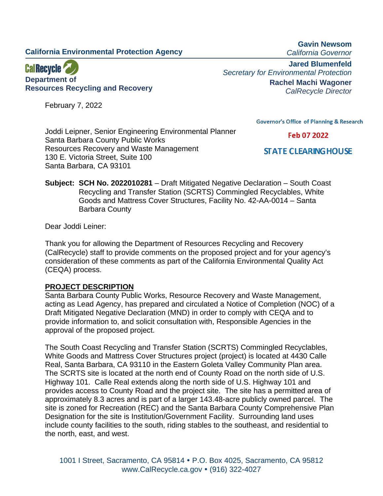# **California Environmental Protection Agency**



February 7, 2022

**Gavin Newsom** *California Governor*

**Jared Blumenfeld** *Secretary for Environmental Protection* **Rachel Machi Wagoner** *CalRecycle Director*

**Governor's Office of Planning & Research** 

Feb 07 2022

**STATE CLEARING HOUSE** 

Joddi Leipner, Senior Engineering Environmental Planner Santa Barbara County Public Works Resources Recovery and Waste Management 130 E. Victoria Street, Suite 100 Santa Barbara, CA 93101

**Subject: SCH No. 2022010281** – Draft Mitigated Negative Declaration – South Coast Recycling and Transfer Station (SCRTS) Commingled Recyclables, White Goods and Mattress Cover Structures, Facility No. 42-AA-0014 – Santa Barbara County

Dear Joddi Leiner:

Thank you for allowing the Department of Resources Recycling and Recovery (CalRecycle) staff to provide comments on the proposed project and for your agency's consideration of these comments as part of the California Environmental Quality Act (CEQA) process.

## **PROJECT DESCRIPTION**

Santa Barbara County Public Works, Resource Recovery and Waste Management, acting as Lead Agency, has prepared and circulated a Notice of Completion (NOC) of a Draft Mitigated Negative Declaration (MND) in order to comply with CEQA and to provide information to, and solicit consultation with, Responsible Agencies in the approval of the proposed project.

The South Coast Recycling and Transfer Station (SCRTS) Commingled Recyclables, White Goods and Mattress Cover Structures project (project) is located at 4430 Calle Real, Santa Barbara, CA 93110 in the Eastern Goleta Valley Community Plan area. The SCRTS site is located at the north end of County Road on the north side of U.S. Highway 101. Calle Real extends along the north side of U.S. Highway 101 and provides access to County Road and the project site. The site has a permitted area of approximately 8.3 acres and is part of a larger 143.48-acre publicly owned parcel. The site is zoned for Recreation (REC) and the Santa Barbara County Comprehensive Plan Designation for the site is Institution/Government Facility. Surrounding land uses include county facilities to the south, riding stables to the southeast, and residential to the north, east, and west.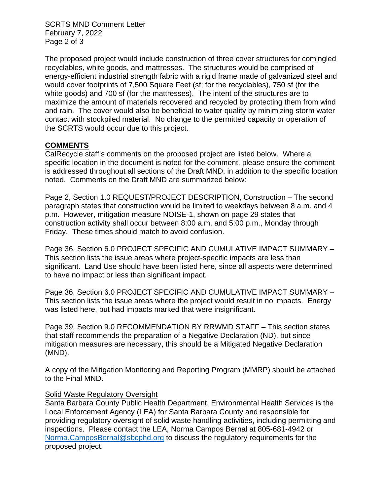SCRTS MND Comment Letter February 7, 2022 Page 2 of 3

The proposed project would include construction of three cover structures for comingled recyclables, white goods, and mattresses. The structures would be comprised of energy-efficient industrial strength fabric with a rigid frame made of galvanized steel and would cover footprints of 7,500 Square Feet (sf; for the recyclables), 750 sf (for the white goods) and 700 sf (for the mattresses). The intent of the structures are to maximize the amount of materials recovered and recycled by protecting them from wind and rain. The cover would also be beneficial to water quality by minimizing storm water contact with stockpiled material. No change to the permitted capacity or operation of the SCRTS would occur due to this project.

## **COMMENTS**

CalRecycle staff's comments on the proposed project are listed below. Where a specific location in the document is noted for the comment, please ensure the comment is addressed throughout all sections of the Draft MND, in addition to the specific location noted. Comments on the Draft MND are summarized below:

Page 2, Section 1.0 REQUEST/PROJECT DESCRIPTION, Construction – The second paragraph states that construction would be limited to weekdays between 8 a.m. and 4 p.m. However, mitigation measure NOISE-1, shown on page 29 states that construction activity shall occur between 8:00 a.m. and 5:00 p.m., Monday through Friday. These times should match to avoid confusion.

Page 36, Section 6.0 PROJECT SPECIFIC AND CUMULATIVE IMPACT SUMMARY – This section lists the issue areas where project-specific impacts are less than significant. Land Use should have been listed here, since all aspects were determined to have no impact or less than significant impact.

Page 36, Section 6.0 PROJECT SPECIFIC AND CUMULATIVE IMPACT SUMMARY – This section lists the issue areas where the project would result in no impacts. Energy was listed here, but had impacts marked that were insignificant.

Page 39, Section 9.0 RECOMMENDATION BY RRWMD STAFF – This section states that staff recommends the preparation of a Negative Declaration (ND), but since mitigation measures are necessary, this should be a Mitigated Negative Declaration (MND).

A copy of the Mitigation Monitoring and Reporting Program (MMRP) should be attached to the Final MND.

## Solid Waste Regulatory Oversight

Santa Barbara County Public Health Department, Environmental Health Services is the Local Enforcement Agency (LEA) for Santa Barbara County and responsible for providing regulatory oversight of solid waste handling activities, including permitting and inspections. Please contact the LEA, Norma Campos Bernal at 805-681-4942 or [Norma.CamposBernal@sbcphd.org](mailto:Norma.CamposBernal@sbcphd.org) to discuss the regulatory requirements for the proposed project.